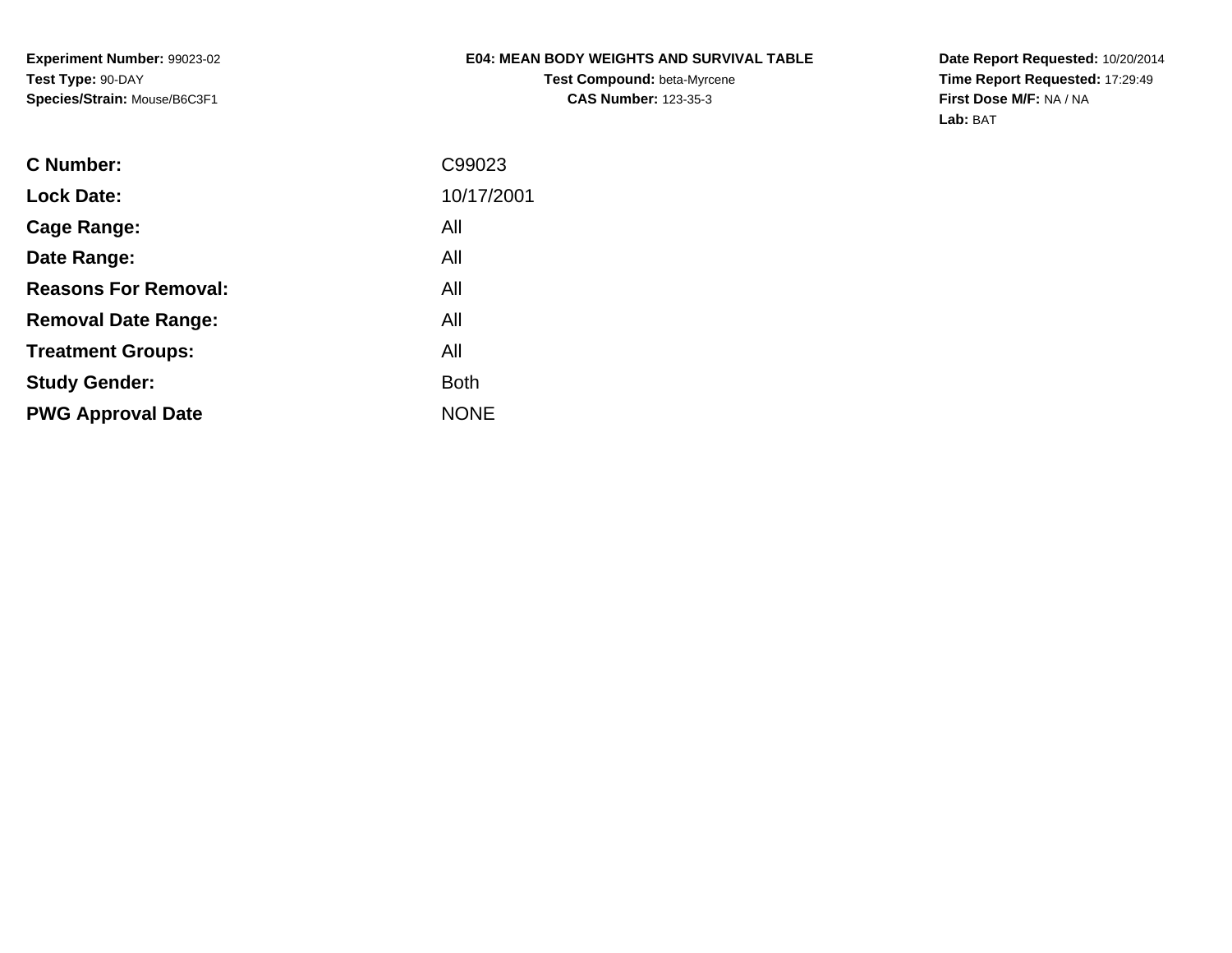**Experiment Number:** 99023-02**Test Type:** 90-DAY**Species/Strain:** Mouse/B6C3F1

## **E04: MEAN BODY WEIGHTS AND SURVIVAL TABLE**

**Test Compound:** beta-Myrcene**CAS Number:** 123-35-3

**Date Report Requested:** 10/20/2014 **Time Report Requested:** 17:29:49**First Dose M/F:** NA / NA**Lab:** BAT

| C Number:                   | C99023      |
|-----------------------------|-------------|
| <b>Lock Date:</b>           | 10/17/2001  |
| Cage Range:                 | All         |
| Date Range:                 | All         |
| <b>Reasons For Removal:</b> | All         |
| <b>Removal Date Range:</b>  | All         |
| <b>Treatment Groups:</b>    | All         |
| <b>Study Gender:</b>        | <b>Both</b> |
| <b>PWG Approval Date</b>    | <b>NONE</b> |
|                             |             |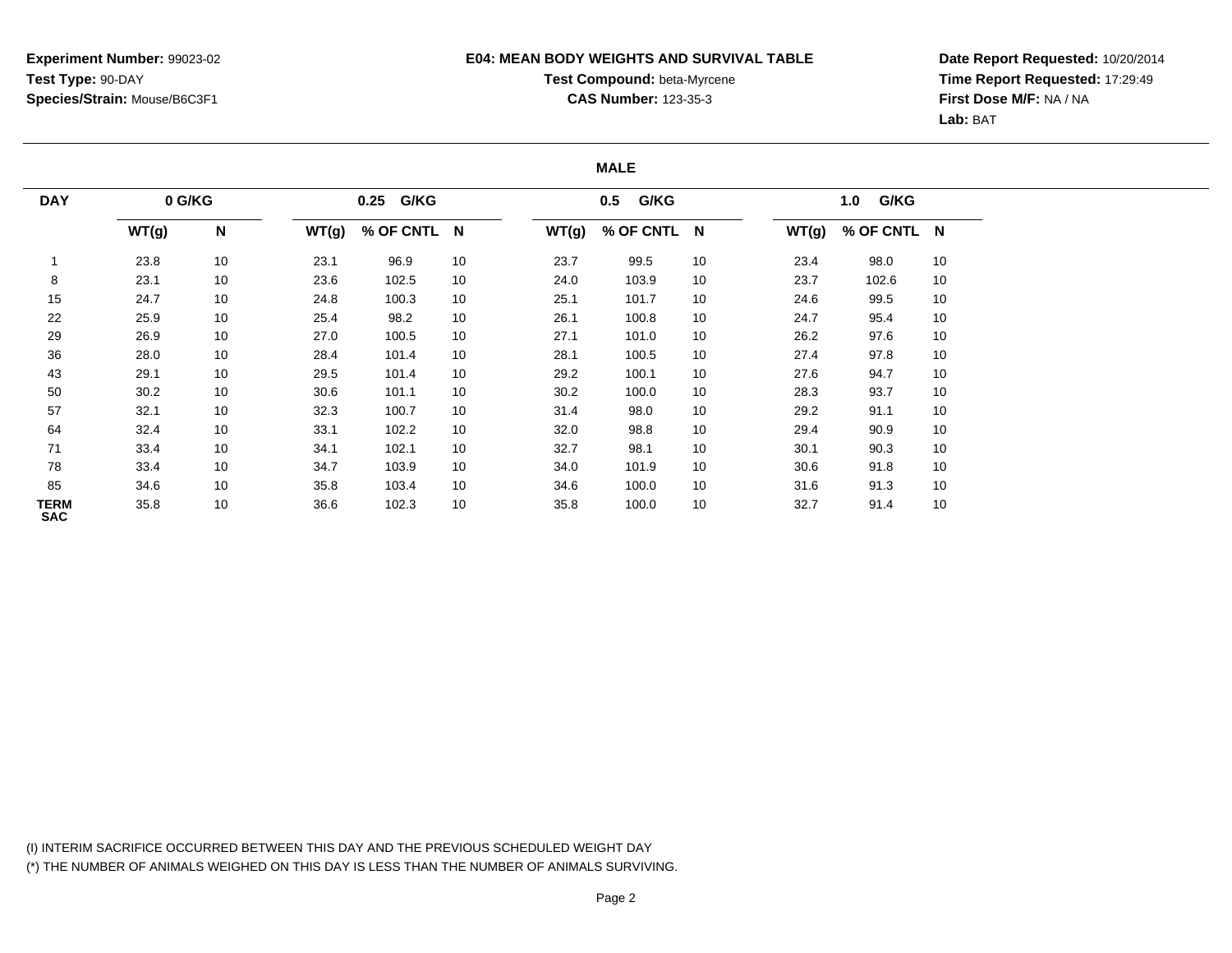### **E04: MEAN BODY WEIGHTS AND SURVIVAL TABLE**

# **Test Compound:** beta-Myrcene**CAS Number:** 123-35-3

**Date Report Requested:** 10/20/2014**Time Report Requested:** 17:29:49**First Dose M/F:** NA / NA**Lab:** BAT

#### **MALE**

| 0 G/KG<br><b>DAY</b> |       |    |       | 0.25 G/KG   |    |       | G/KG<br>0.5 |    |       | G/KG<br>1.0 |    |  |
|----------------------|-------|----|-------|-------------|----|-------|-------------|----|-------|-------------|----|--|
|                      | WT(g) | N  | WT(g) | % OF CNTL N |    | WT(g) | % OF CNTL N |    | WT(g) | % OF CNTL N |    |  |
|                      | 23.8  | 10 | 23.1  | 96.9        | 10 | 23.7  | 99.5        | 10 | 23.4  | 98.0        | 10 |  |
| 8                    | 23.1  | 10 | 23.6  | 102.5       | 10 | 24.0  | 103.9       | 10 | 23.7  | 102.6       | 10 |  |
| 15                   | 24.7  | 10 | 24.8  | 100.3       | 10 | 25.1  | 101.7       | 10 | 24.6  | 99.5        | 10 |  |
| 22                   | 25.9  | 10 | 25.4  | 98.2        | 10 | 26.1  | 100.8       | 10 | 24.7  | 95.4        | 10 |  |
| 29                   | 26.9  | 10 | 27.0  | 100.5       | 10 | 27.1  | 101.0       | 10 | 26.2  | 97.6        | 10 |  |
| 36                   | 28.0  | 10 | 28.4  | 101.4       | 10 | 28.1  | 100.5       | 10 | 27.4  | 97.8        | 10 |  |
| 43                   | 29.1  | 10 | 29.5  | 101.4       | 10 | 29.2  | 100.1       | 10 | 27.6  | 94.7        | 10 |  |
| 50                   | 30.2  | 10 | 30.6  | 101.1       | 10 | 30.2  | 100.0       | 10 | 28.3  | 93.7        | 10 |  |
| 57                   | 32.1  | 10 | 32.3  | 100.7       | 10 | 31.4  | 98.0        | 10 | 29.2  | 91.1        | 10 |  |
| 64                   | 32.4  | 10 | 33.1  | 102.2       | 10 | 32.0  | 98.8        | 10 | 29.4  | 90.9        | 10 |  |
| 71                   | 33.4  | 10 | 34.1  | 102.1       | 10 | 32.7  | 98.1        | 10 | 30.1  | 90.3        | 10 |  |
| 78                   | 33.4  | 10 | 34.7  | 103.9       | 10 | 34.0  | 101.9       | 10 | 30.6  | 91.8        | 10 |  |
| 85                   | 34.6  | 10 | 35.8  | 103.4       | 10 | 34.6  | 100.0       | 10 | 31.6  | 91.3        | 10 |  |
| TERM<br><b>SAC</b>   | 35.8  | 10 | 36.6  | 102.3       | 10 | 35.8  | 100.0       | 10 | 32.7  | 91.4        | 10 |  |

(I) INTERIM SACRIFICE OCCURRED BETWEEN THIS DAY AND THE PREVIOUS SCHEDULED WEIGHT DAY(\*) THE NUMBER OF ANIMALS WEIGHED ON THIS DAY IS LESS THAN THE NUMBER OF ANIMALS SURVIVING.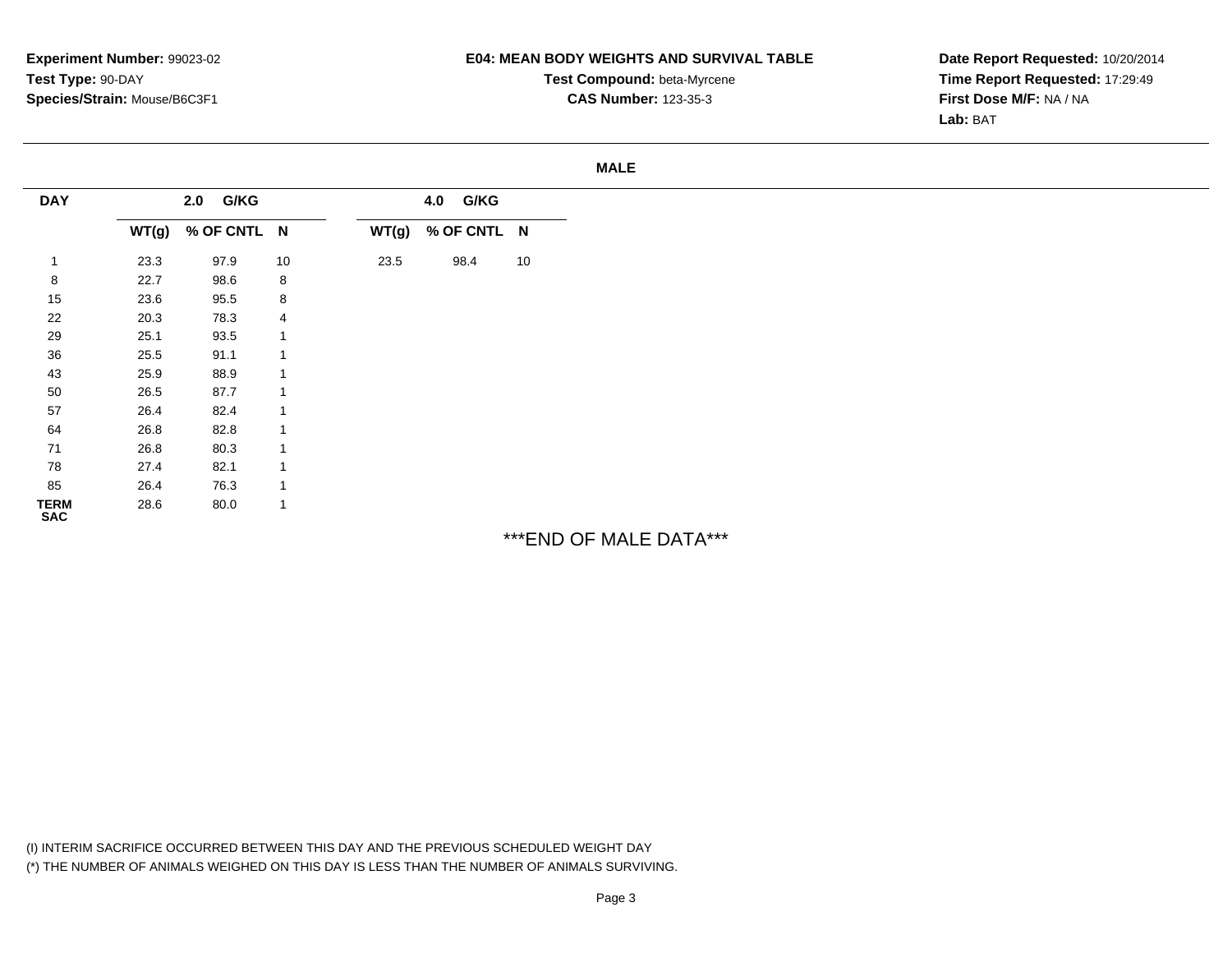**Experiment Number:** 99023-02**Test Type:** 90-DAY**Species/Strain:** Mouse/B6C3F1

### **E04: MEAN BODY WEIGHTS AND SURVIVAL TABLE**

**Test Compound:** beta-Myrcene**CAS Number:** 123-35-3

**Date Report Requested:** 10/20/2014**Time Report Requested:** 17:29:49**First Dose M/F:** NA / NA**Lab:** BAT

#### **MALE**

| <b>DAY</b>                |       | 2.0 G/KG    |                |       | 4.0 G/KG    |    |
|---------------------------|-------|-------------|----------------|-------|-------------|----|
|                           | WT(g) | % OF CNTL N |                | WT(g) | % OF CNTL N |    |
|                           | 23.3  | 97.9        | 10             | 23.5  | 98.4        | 10 |
| 8                         | 22.7  | 98.6        | 8              |       |             |    |
| 15                        | 23.6  | 95.5        | 8              |       |             |    |
| 22                        | 20.3  | 78.3        | 4              |       |             |    |
| 29                        | 25.1  | 93.5        | $\overline{1}$ |       |             |    |
| 36                        | 25.5  | 91.1        | 1              |       |             |    |
| 43                        | 25.9  | 88.9        | 1              |       |             |    |
| 50                        | 26.5  | 87.7        | $\overline{1}$ |       |             |    |
| 57                        | 26.4  | 82.4        | $\overline{1}$ |       |             |    |
| 64                        | 26.8  | 82.8        | $\overline{1}$ |       |             |    |
| 71                        | 26.8  | 80.3        | $\overline{1}$ |       |             |    |
| 78                        | 27.4  | 82.1        | $\overline{1}$ |       |             |    |
| 85                        | 26.4  | 76.3        | $\overline{1}$ |       |             |    |
| <b>TERM</b><br><b>SAC</b> | 28.6  | 80.0        | $\mathbf{1}$   |       |             |    |

\*\*\*END OF MALE DATA\*\*\*

(I) INTERIM SACRIFICE OCCURRED BETWEEN THIS DAY AND THE PREVIOUS SCHEDULED WEIGHT DAY(\*) THE NUMBER OF ANIMALS WEIGHED ON THIS DAY IS LESS THAN THE NUMBER OF ANIMALS SURVIVING.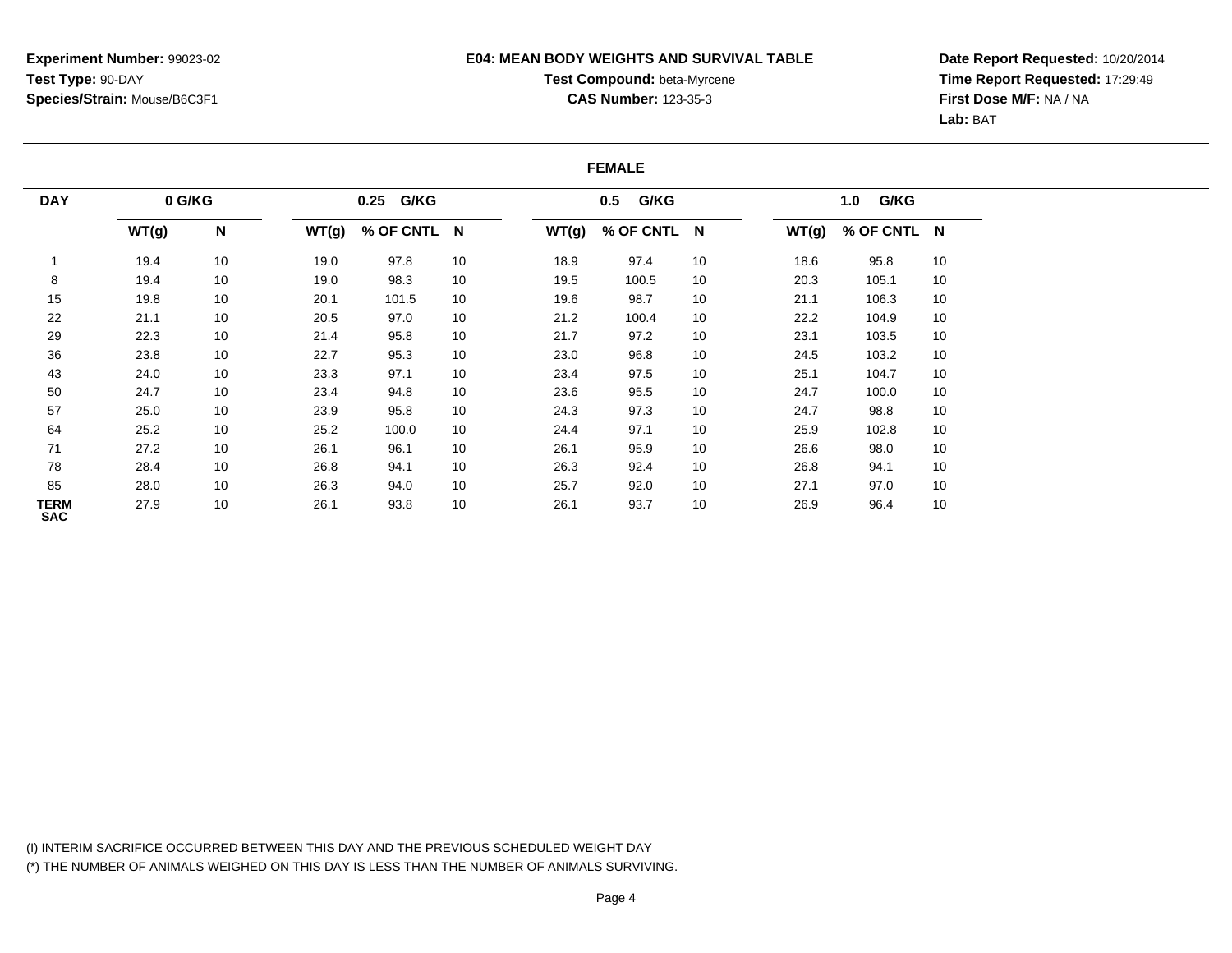### **E04: MEAN BODY WEIGHTS AND SURVIVAL TABLE**

# **Test Compound:** beta-Myrcene**CAS Number:** 123-35-3

**Date Report Requested:** 10/20/2014**Time Report Requested:** 17:29:49**First Dose M/F:** NA / NA**Lab:** BAT

#### **FEMALE**

| <b>DAY</b>                | 0 G/KG |    |       | 0.25 G/KG   |    |       | G/KG<br>0.5 |    |       | G/KG<br>1.0 |    |  |
|---------------------------|--------|----|-------|-------------|----|-------|-------------|----|-------|-------------|----|--|
|                           | WT(g)  | N  | WT(g) | % OF CNTL N |    | WT(g) | % OF CNTL N |    | WT(g) | % OF CNTL N |    |  |
|                           | 19.4   | 10 | 19.0  | 97.8        | 10 | 18.9  | 97.4        | 10 | 18.6  | 95.8        | 10 |  |
| 8                         | 19.4   | 10 | 19.0  | 98.3        | 10 | 19.5  | 100.5       | 10 | 20.3  | 105.1       | 10 |  |
| 15                        | 19.8   | 10 | 20.1  | 101.5       | 10 | 19.6  | 98.7        | 10 | 21.1  | 106.3       | 10 |  |
| 22                        | 21.1   | 10 | 20.5  | 97.0        | 10 | 21.2  | 100.4       | 10 | 22.2  | 104.9       | 10 |  |
| 29                        | 22.3   | 10 | 21.4  | 95.8        | 10 | 21.7  | 97.2        | 10 | 23.1  | 103.5       | 10 |  |
| 36                        | 23.8   | 10 | 22.7  | 95.3        | 10 | 23.0  | 96.8        | 10 | 24.5  | 103.2       | 10 |  |
| 43                        | 24.0   | 10 | 23.3  | 97.1        | 10 | 23.4  | 97.5        | 10 | 25.1  | 104.7       | 10 |  |
| 50                        | 24.7   | 10 | 23.4  | 94.8        | 10 | 23.6  | 95.5        | 10 | 24.7  | 100.0       | 10 |  |
| 57                        | 25.0   | 10 | 23.9  | 95.8        | 10 | 24.3  | 97.3        | 10 | 24.7  | 98.8        | 10 |  |
| 64                        | 25.2   | 10 | 25.2  | 100.0       | 10 | 24.4  | 97.1        | 10 | 25.9  | 102.8       | 10 |  |
| 71                        | 27.2   | 10 | 26.1  | 96.1        | 10 | 26.1  | 95.9        | 10 | 26.6  | 98.0        | 10 |  |
| 78                        | 28.4   | 10 | 26.8  | 94.1        | 10 | 26.3  | 92.4        | 10 | 26.8  | 94.1        | 10 |  |
| 85                        | 28.0   | 10 | 26.3  | 94.0        | 10 | 25.7  | 92.0        | 10 | 27.1  | 97.0        | 10 |  |
| <b>TERM</b><br><b>SAC</b> | 27.9   | 10 | 26.1  | 93.8        | 10 | 26.1  | 93.7        | 10 | 26.9  | 96.4        | 10 |  |